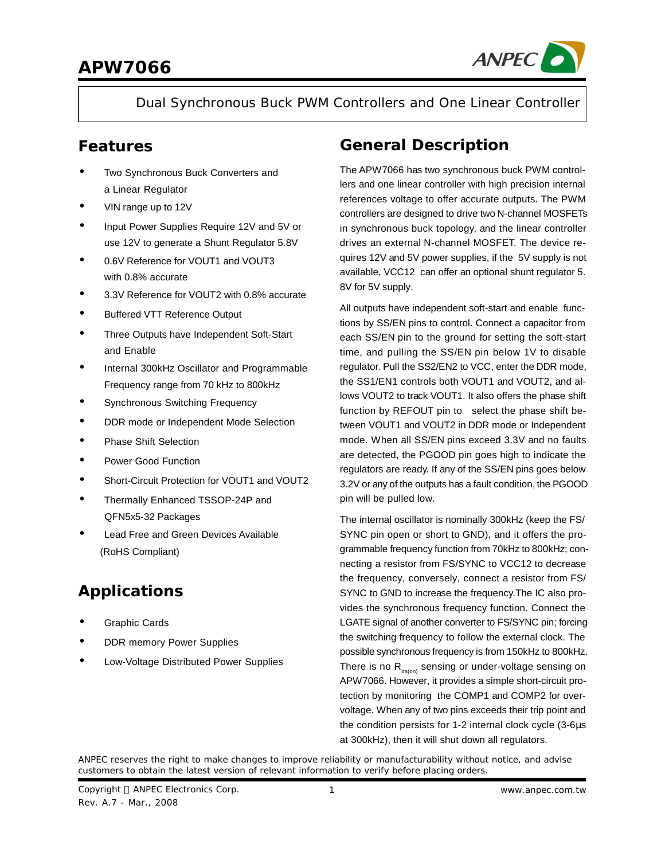

Dual Synchronous Buck PWM Controllers and One Linear Controller

### **Features**

- **·** Two Synchronous Buck Converters and a Linear Regulator
- **·** VIN range up to 12V
- **·** Input Power Supplies Require 12V and 5V or use 12V to generate a Shunt Regulator 5.8V
- **·** 0.6V Reference for VOUT1 and VOUT3 with 0.8% accurate
- **·** 3.3V Reference for VOUT2 with 0.8% accurate
- **·** Buffered VTT Reference Output
- **·** Three Outputs have Independent Soft-Start and Enable
- **·** Internal 300kHz Oscillator and Programmable Frequency range from 70 kHz to 800kHz
- **·** Synchronous Switching Frequency
- **·** DDR mode or Independent Mode Selection
- **·** Phase Shift Selection
- **·** Power Good Function
- **·** Short-Circuit Protection for VOUT1 and VOUT2
- **·** Thermally Enhanced TSSOP-24P and QFN5x5-32 Packages
- **·** Lead Free and Green Devices Available (RoHS Compliant)

### **Applications**

- **·** Graphic Cards
- **DDR memory Power Supplies**
- **·** Low-Voltage Distributed Power Supplies

### **General Description**

The APW7066 has two synchronous buck PWM controllers and one linear controller with high precision internal references voltage to offer accurate outputs. The PWM controllers are designed to drive two N-channel MOSFETs in synchronous buck topology, and the linear controller drives an external N-channel MOSFET. The device requires 12V and 5V power supplies, if the 5V supply is not available, VCC12 can offer an optional shunt regulator 5. 8V for 5V supply.

All outputs have independent soft-start and enable functions by SS/EN pins to control. Connect a capacitor from each SS/EN pin to the ground for setting the soft-start time, and pulling the SS/EN pin below 1V to disable regulator. Pull the SS2/EN2 to VCC, enter the DDR mode, the SS1/EN1 controls both VOUT1 and VOUT2, and allows VOUT2 to track VOUT1. It also offers the phase shift function by REFOUT pin to select the phase shift between VOUT1 and VOUT2 in DDR mode or Independent mode. When all SS/EN pins exceed 3.3V and no faults are detected, the PGOOD pin goes high to indicate the regulators are ready. If any of the SS/EN pins goes below 3.2V or any of the outputs has a fault condition, the PGOOD pin will be pulled low.

The internal oscillator is nominally 300kHz (keep the FS/ SYNC pin open or short to GND), and it offers the programmable frequency function from 70kHz to 800kHz; connecting a resistor from FS/SYNC to VCC12 to decrease the frequency, conversely, connect a resistor from FS/ SYNC to GND to increase the frequency.The IC also provides the synchronous frequency function. Connect the LGATE signal of another converter to FS/SYNC pin; forcing the switching frequency to follow the external clock. The possible synchronous frequency is from 150kHz to 800kHz. There is no  $R_{ds(on)}$  sensing or under-voltage sensing on APW7066. However, it provides a simple short-circuit protection by monitoring the COMP1 and COMP2 for overvoltage. When any of two pins exceeds their trip point and the condition persists for 1-2 internal clock cycle (3-6μs at 300kHz), then it will shut down all regulators.

ANPEC reserves the right to make changes to improve reliability or manufacturability without notice, and advise customers to obtain the latest version of relevant information to verify before placing orders.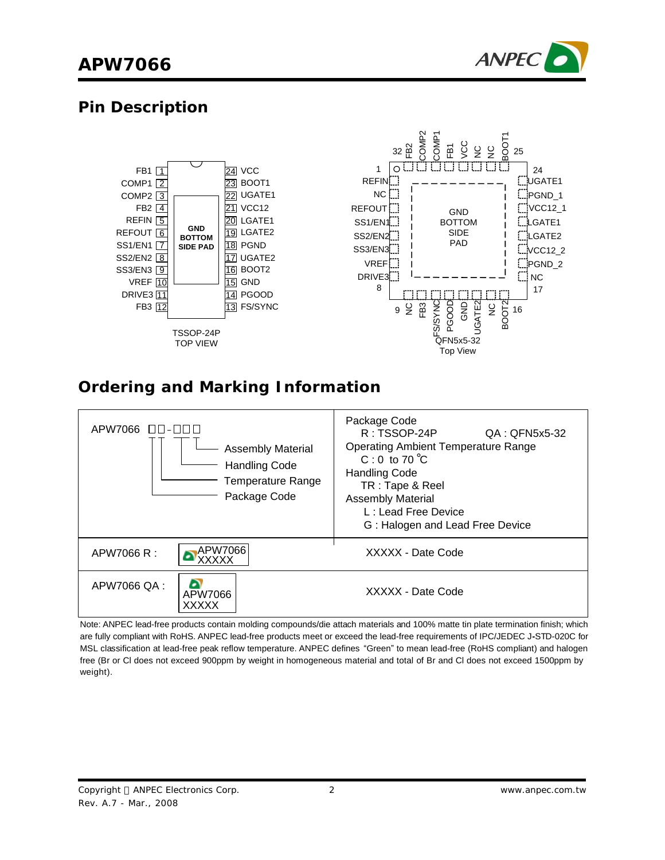

### **Pin Description**



### **Ordering and Marking Information**



Note: ANPEC lead-free products contain molding compounds/die attach materials and 100% matte tin plate termination finish; which are fully compliant with RoHS. ANPEC lead-free products meet or exceed the lead-free requirements of IPC/JEDEC J**-**STD-020C for MSL classification at lead-free peak reflow temperature. ANPEC defines "Green" to mean lead-free (RoHS compliant) and halogen free (Br or Cl does not exceed 900ppm by weight in homogeneous material and total of Br and Cl does not exceed 1500ppm by weight).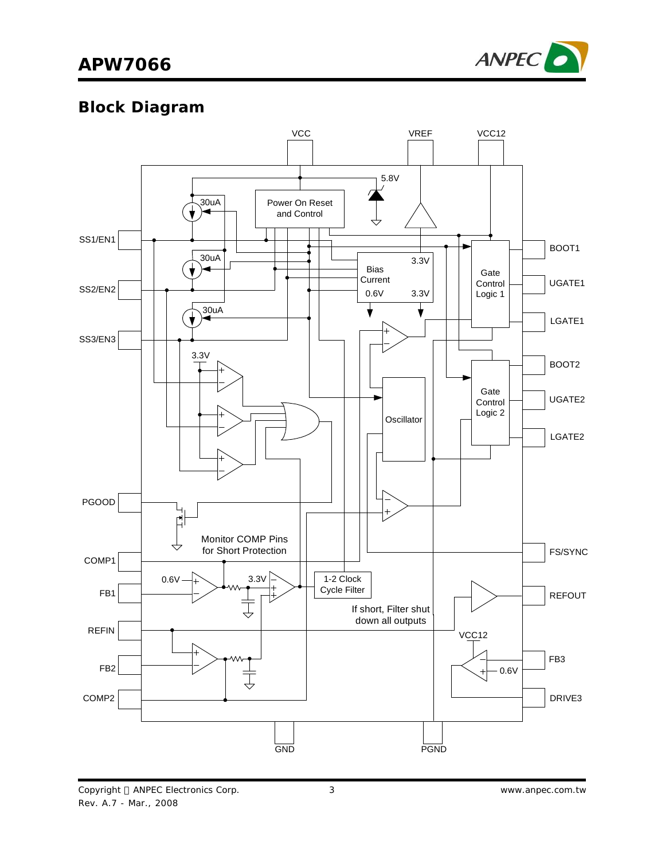

# **Block Diagram**

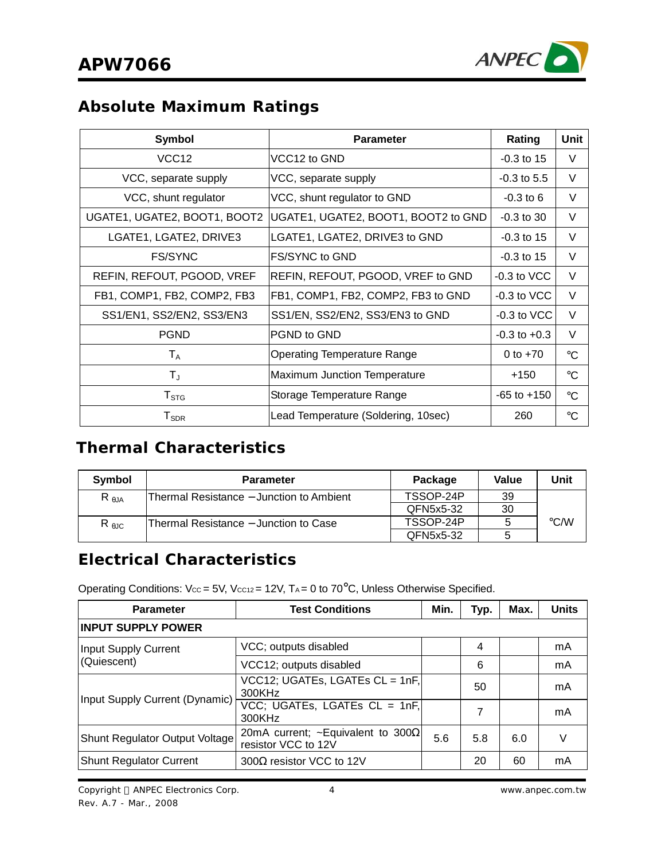

### **Absolute Maximum Ratings**

| Symbol                       | <b>Parameter</b>                    | Rating           | <b>Unit</b>     |
|------------------------------|-------------------------------------|------------------|-----------------|
| VCC <sub>12</sub>            | VCC12 to GND                        | $-0.3$ to 15     | V               |
| VCC, separate supply         | VCC, separate supply                | $-0.3$ to 5.5    | V               |
| VCC, shunt regulator         | VCC, shunt regulator to GND         | $-0.3$ to 6      | V               |
| UGATE1, UGATE2, BOOT1, BOOT2 | UGATE1, UGATE2, BOOT1, BOOT2 to GND | $-0.3$ to 30     | V               |
| LGATE1, LGATE2, DRIVE3       | LGATE1, LGATE2, DRIVE3 to GND       | $-0.3$ to 15     | V               |
| <b>FS/SYNC</b>               | FS/SYNC to GND                      | $-0.3$ to 15     | V               |
| REFIN, REFOUT, PGOOD, VREF   | REFIN, REFOUT, PGOOD, VREF to GND   | $-0.3$ to VCC    | V               |
| FB1, COMP1, FB2, COMP2, FB3  | FB1, COMP1, FB2, COMP2, FB3 to GND  | $-0.3$ to VCC    | V               |
| SS1/EN1, SS2/EN2, SS3/EN3    | SS1/EN, SS2/EN2, SS3/EN3 to GND     | $-0.3$ to VCC    | V               |
| <b>PGND</b>                  | PGND to GND                         | $-0.3$ to $+0.3$ | V               |
| $\mathsf{T}_\mathsf{A}$      | <b>Operating Temperature Range</b>  | 0 to $+70$       | $\rm ^{\circ}C$ |
| T,                           | Maximum Junction Temperature        | +150             | $\rm ^{\circ}C$ |
| ${\sf T}_{\text{STG}}$       | Storage Temperature Range           | $-65$ to $+150$  | $\rm ^{\circ}C$ |
| ${\sf T}_{\sf SDR}$          | Lead Temperature (Soldering, 10sec) | 260              | $\rm ^{\circ}C$ |

### **Thermal Characteristics**

| Symbol         | <b>Parameter</b>                         | Package   | Value | Unit               |
|----------------|------------------------------------------|-----------|-------|--------------------|
| $R_{\theta$ JA | Thermal Resistance – Junction to Ambient | TSSOP-24P | 39    |                    |
|                |                                          | QFN5x5-32 | 30    |                    |
| $R_{\theta$ JC | Thermal Resistance – Junction to Case    | TSSOP-24P |       | $\rm ^{\circ}$ C/W |
|                |                                          | QFN5x5-32 |       |                    |

### **Electrical Characteristics**

Operating Conditions:  $V_{CC} = 5V$ ,  $V_{CC12} = 12V$ ,  $T_A = 0$  to 70°C, Unless Otherwise Specified.

| <b>Parameter</b>                      | <b>Test Conditions</b>                                           | Min. | Typ. | Max. | <b>Units</b> |  |
|---------------------------------------|------------------------------------------------------------------|------|------|------|--------------|--|
| <b>INPUT SUPPLY POWER</b>             |                                                                  |      |      |      |              |  |
| Input Supply Current                  | VCC; outputs disabled                                            |      | 4    |      | mA           |  |
| (Quiescent)                           | VCC12; outputs disabled                                          |      | 6    |      | mA           |  |
| Input Supply Current (Dynamic)        | $VCC12$ ; UGATEs, LGATEs CL = 1nF,<br>300KHz                     |      | 50   |      | mA           |  |
|                                       | VCC; UGATEs, LGATEs CL = 1nF,<br>300KHz                          |      | 7    |      | mA           |  |
| <b>Shunt Regulator Output Voltage</b> | 20mA current; ~Equivalent to 300 $\Omega$<br>resistor VCC to 12V | 5.6  | 5.8  | 6.0  |              |  |
| <b>Shunt Regulator Current</b>        | 300Ω resistor VCC to 12V                                         |      | 20   | 60   | mA           |  |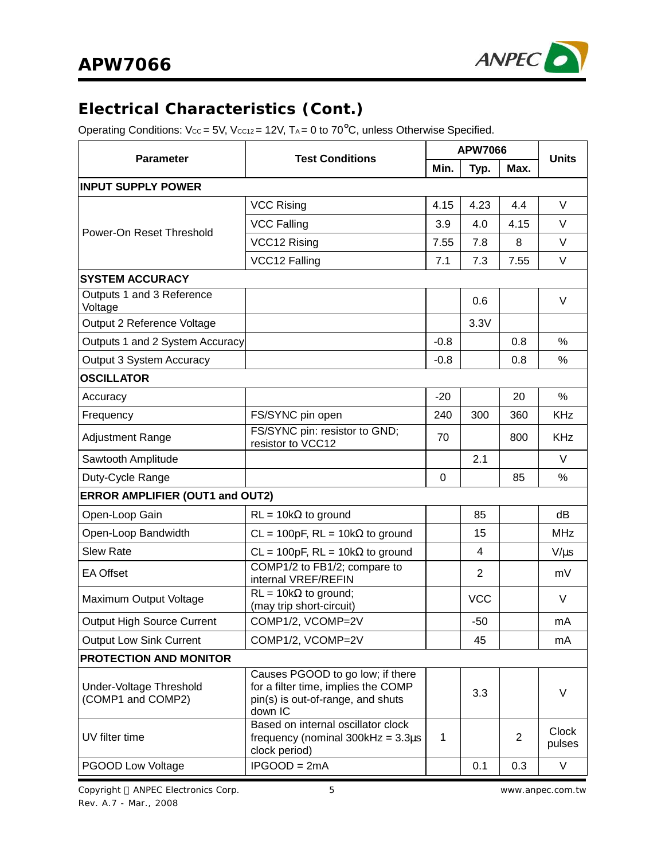

### **Electrical Characteristics (Cont.)**

Operating Conditions:  $V_{CC} = 5V$ ,  $V_{CC12} = 12V$ ,  $T_A = 0$  to  $70^{\circ}$ C, unless Otherwise Specified.

|                                              |                                                                                                                         |             | <b>APW7066</b> |      |                        |  |
|----------------------------------------------|-------------------------------------------------------------------------------------------------------------------------|-------------|----------------|------|------------------------|--|
| <b>Parameter</b>                             | <b>Test Conditions</b>                                                                                                  | Min.        | Typ.           | Max. | <b>Units</b>           |  |
| <b>INPUT SUPPLY POWER</b>                    |                                                                                                                         |             |                |      |                        |  |
|                                              | <b>VCC Rising</b>                                                                                                       | 4.15        | 4.23           | 4.4  | V                      |  |
| Power-On Reset Threshold                     | <b>VCC Falling</b>                                                                                                      | 3.9         | 4.0            | 4.15 | $\vee$                 |  |
|                                              | VCC12 Rising                                                                                                            | 7.55        | 7.8            | 8    | $\vee$                 |  |
|                                              | VCC12 Falling                                                                                                           | 7.1         | 7.3            | 7.55 | V                      |  |
| <b>SYSTEM ACCURACY</b>                       |                                                                                                                         |             |                |      |                        |  |
| Outputs 1 and 3 Reference<br>Voltage         |                                                                                                                         |             | 0.6            |      | V                      |  |
| Output 2 Reference Voltage                   |                                                                                                                         |             | 3.3V           |      |                        |  |
| Outputs 1 and 2 System Accuracy              |                                                                                                                         | $-0.8$      |                | 0.8  | %                      |  |
| Output 3 System Accuracy                     |                                                                                                                         | $-0.8$      |                | 0.8  | %                      |  |
| <b>OSCILLATOR</b>                            |                                                                                                                         |             |                |      |                        |  |
| Accuracy                                     |                                                                                                                         | $-20$       |                | 20   | %                      |  |
| Frequency                                    | FS/SYNC pin open                                                                                                        | 240         | 300            | 360  | <b>KHz</b>             |  |
| <b>Adjustment Range</b>                      | FS/SYNC pin: resistor to GND;<br>resistor to VCC12                                                                      | 70          |                | 800  | <b>KHz</b>             |  |
| Sawtooth Amplitude                           |                                                                                                                         |             | 2.1            |      | $\vee$                 |  |
| Duty-Cycle Range                             |                                                                                                                         | $\mathbf 0$ |                | 85   | $\%$                   |  |
| <b>ERROR AMPLIFIER (OUT1 and OUT2)</b>       |                                                                                                                         |             |                |      |                        |  |
| Open-Loop Gain                               | $RL = 10k\Omega$ to ground                                                                                              |             | 85             |      | dB                     |  |
| Open-Loop Bandwidth                          | $CL = 100pF$ , $RL = 10k\Omega$ to ground                                                                               |             | 15             |      | <b>MHz</b>             |  |
| <b>Slew Rate</b>                             | $CL = 100pF$ , RL = 10k $\Omega$ to ground                                                                              |             | $\overline{4}$ |      | $V/\mu s$              |  |
| <b>EA Offset</b>                             | COMP1/2 to FB1/2; compare to<br>internal VREF/REFIN                                                                     |             | $\overline{2}$ |      | mV                     |  |
| Maximum Output Voltage                       | $RL = 10k\Omega$ to ground;<br>(may trip short-circuit)                                                                 |             | <b>VCC</b>     |      | V                      |  |
| <b>Output High Source Current</b>            | COMP1/2, VCOMP=2V                                                                                                       |             | $-50$          |      | mA                     |  |
| <b>Output Low Sink Current</b>               | COMP1/2, VCOMP=2V                                                                                                       |             | 45             |      | mA                     |  |
| <b>PROTECTION AND MONITOR</b>                |                                                                                                                         |             |                |      |                        |  |
| Under-Voltage Threshold<br>(COMP1 and COMP2) | Causes PGOOD to go low; if there<br>for a filter time, implies the COMP<br>pin(s) is out-of-range, and shuts<br>down IC |             | 3.3            |      | V                      |  |
| UV filter time                               | Based on internal oscillator clock<br>frequency (nominal $300k$ Hz = $3.3\mu$ s<br>clock period)                        | 1           |                | 2    | <b>Clock</b><br>pulses |  |
| PGOOD Low Voltage                            | $IPGOOD = 2mA$                                                                                                          |             | 0.1            | 0.3  | V                      |  |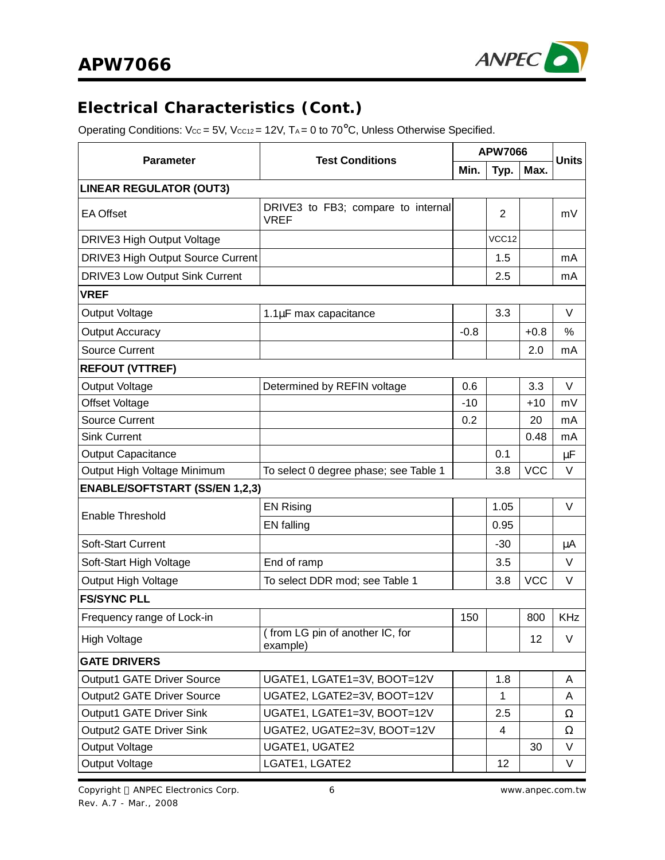

### **Electrical Characteristics (Cont.)**

Operating Conditions:  $V_{CC} = 5V$ ,  $V_{CC12} = 12V$ ,  $T_A = 0$  to  $70^{\circ}$ C, Unless Otherwise Specified.

|                                          |                                                   | <b>APW7066</b> |                |            | <b>Units</b> |  |
|------------------------------------------|---------------------------------------------------|----------------|----------------|------------|--------------|--|
| <b>Parameter</b>                         | <b>Test Conditions</b>                            | Min.           | Typ.           | Max.       |              |  |
| <b>LINEAR REGULATOR (OUT3)</b>           |                                                   |                |                |            |              |  |
| <b>EA Offset</b>                         | DRIVE3 to FB3; compare to internal<br><b>VREF</b> |                | $\overline{2}$ |            | mV           |  |
| DRIVE3 High Output Voltage               |                                                   |                | VCC12          |            |              |  |
| <b>DRIVE3 High Output Source Current</b> |                                                   |                | 1.5            |            | mA           |  |
| <b>DRIVE3 Low Output Sink Current</b>    |                                                   |                | 2.5            |            | mA           |  |
| <b>VREF</b>                              |                                                   |                |                |            |              |  |
| Output Voltage                           | 1.1µF max capacitance                             |                | 3.3            |            | V            |  |
| <b>Output Accuracy</b>                   |                                                   | $-0.8$         |                | $+0.8$     | $\%$         |  |
| <b>Source Current</b>                    |                                                   |                |                | 2.0        | mA           |  |
| <b>REFOUT (VTTREF)</b>                   |                                                   |                |                |            |              |  |
| <b>Output Voltage</b>                    | Determined by REFIN voltage                       | 0.6            |                | 3.3        | $\vee$       |  |
| Offset Voltage                           |                                                   | $-10$          |                | $+10$      | mV           |  |
| <b>Source Current</b>                    |                                                   | 0.2            |                | 20         | mA           |  |
| <b>Sink Current</b>                      |                                                   |                |                | 0.48       | mA           |  |
| <b>Output Capacitance</b>                |                                                   |                | 0.1            |            | μF           |  |
| Output High Voltage Minimum              | To select 0 degree phase; see Table 1             |                | 3.8            | <b>VCC</b> | V            |  |
| <b>ENABLE/SOFTSTART (SS/EN 1,2,3)</b>    |                                                   |                |                |            |              |  |
| Enable Threshold                         | <b>EN Rising</b>                                  |                | 1.05           |            | V            |  |
|                                          | <b>EN</b> falling                                 |                | 0.95           |            |              |  |
| <b>Soft-Start Current</b>                |                                                   |                | $-30$          |            | μA           |  |
| Soft-Start High Voltage                  | End of ramp                                       |                | 3.5            |            | V            |  |
| Output High Voltage                      | To select DDR mod; see Table 1                    |                | 3.8            | <b>VCC</b> | V            |  |
| <b>FS/SYNC PLL</b>                       |                                                   |                |                |            |              |  |
| Frequency range of Lock-in               |                                                   | 150            |                | 800        | <b>KHz</b>   |  |
| High Voltage                             | (from LG pin of another IC, for<br>example)       |                |                | 12         | V            |  |
| <b>GATE DRIVERS</b>                      |                                                   |                |                |            |              |  |
| <b>Output1 GATE Driver Source</b>        | UGATE1, LGATE1=3V, BOOT=12V                       |                | 1.8            |            | A            |  |
| <b>Output2 GATE Driver Source</b>        | UGATE2, LGATE2=3V, BOOT=12V                       |                | 1              |            | A            |  |
| Output1 GATE Driver Sink                 | UGATE1, LGATE1=3V, BOOT=12V                       |                | 2.5            |            | Ω            |  |
| Output2 GATE Driver Sink                 | UGATE2, UGATE2=3V, BOOT=12V                       |                | 4              |            | Ω            |  |
| Output Voltage                           | UGATE1, UGATE2                                    |                |                | 30         | V            |  |
| Output Voltage                           | LGATE1, LGATE2                                    |                | 12             |            | V            |  |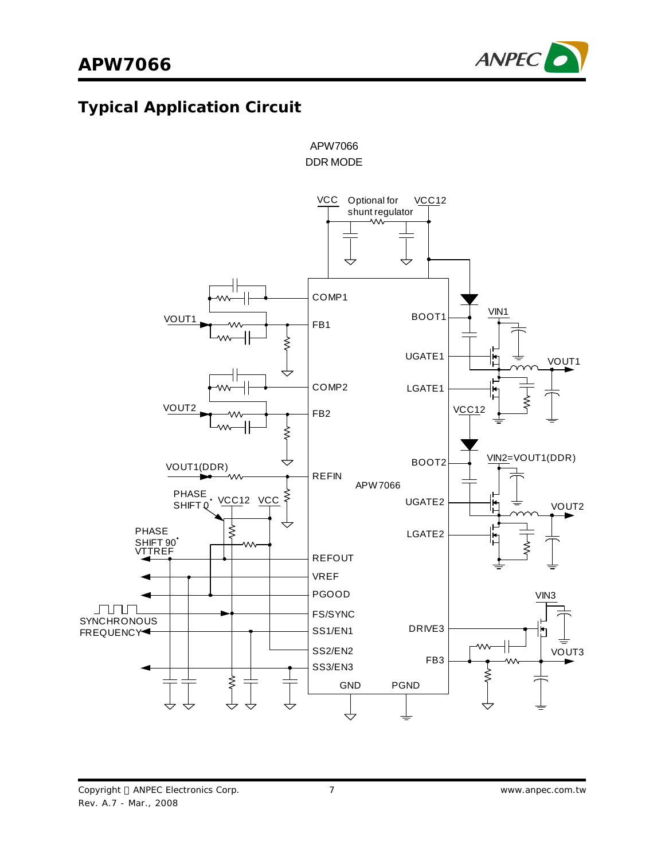

# **Typical Application Circuit**



APW7066

DDR MODE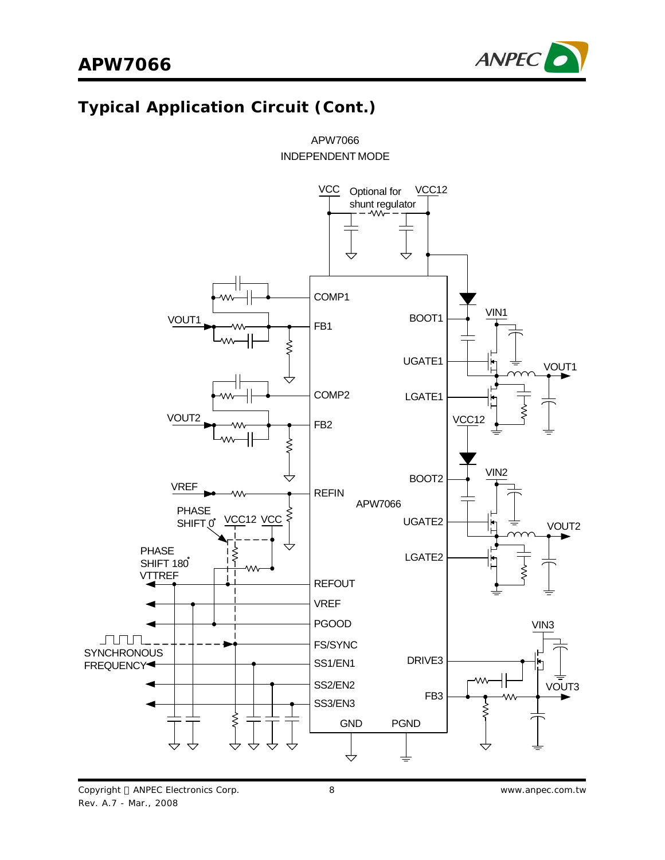

# **Typical Application Circuit (Cont.)**



APW7066 INDEPENDENT MODE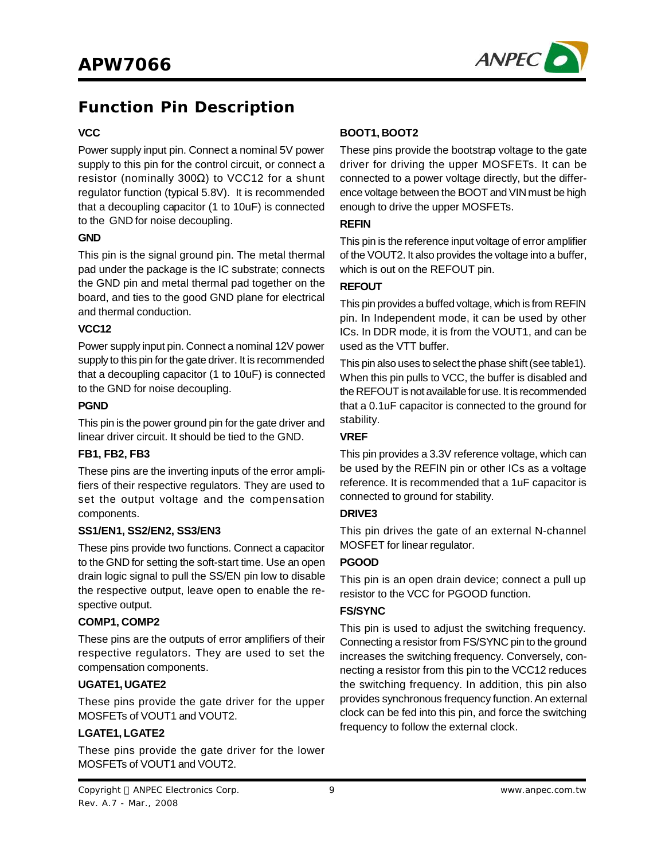

### **Function Pin Description**

#### **VCC**

Power supply input pin. Connect a nominal 5V power supply to this pin for the control circuit, or connect a resistor (nominally 300Ω) to VCC12 for a shunt regulator function (typical 5.8V). It is recommended that a decoupling capacitor (1 to 10uF) is connected to the GND for noise decoupling.

#### **GND**

This pin is the signal ground pin. The metal thermal pad under the package is the IC substrate; connects the GND pin and metal thermal pad together on the board, and ties to the good GND plane for electrical and thermal conduction.

#### **VCC12**

Power supply input pin. Connect a nominal 12V power supply to this pin for the gate driver. It is recommended that a decoupling capacitor (1 to 10uF) is connected to the GND for noise decoupling.

#### **PGND**

This pin is the power ground pin for the gate driver and linear driver circuit. It should be tied to the GND.

#### **FB1, FB2, FB3**

These pins are the inverting inputs of the error amplifiers of their respective regulators. They are used to set the output voltage and the compensation components.

#### **SS1/EN1, SS2/EN2, SS3/EN3**

These pins provide two functions. Connect a capacitor to the GND for setting the soft-start time. Use an open drain logic signal to pull the SS/EN pin low to disable the respective output, leave open to enable the respective output.

#### **COMP1, COMP2**

These pins are the outputs of error amplifiers of their respective regulators. They are used to set the compensation components.

#### **UGATE1,UGATE2**

These pins provide the gate driver for the upper MOSFETs of VOUT1 and VOUT2.

#### **LGATE1, LGATE2**

These pins provide the gate driver for the lower MOSFETs of VOUT1 and VOUT2.

#### **BOOT1, BOOT2**

These pins provide the bootstrap voltage to the gate driver for driving the upper MOSFETs. It can be connected to a power voltage directly, but the difference voltage between the BOOT and VIN must be high enough to drive the upper MOSFETs.

#### **REFIN**

This pin is the reference input voltage of error amplifier of the VOUT2. It also provides the voltage into a buffer, which is out on the REFOUT pin.

#### **REFOUT**

This pin provides a buffed voltage, which is from REFIN pin. In Independent mode, it can be used by other ICs. In DDR mode, it is from the VOUT1, and can be used as the VTT buffer.

This pin also uses to select the phase shift (see table1). When this pin pulls to VCC, the buffer is disabled and the REFOUT is not available for use. It is recommended that a 0.1uF capacitor is connected to the ground for stability.

#### **VREF**

This pin provides a 3.3V reference voltage, which can be used by the REFIN pin or other ICs as a voltage reference. It is recommended that a 1uF capacitor is connected to ground for stability.

#### **DRIVE3**

This pin drives the gate of an external N-channel MOSFET for linear regulator.

#### **PGOOD**

This pin is an open drain device; connect a pull up resistor to the VCC for PGOOD function.

#### **FS/SYNC**

This pin is used to adjust the switching frequency. Connecting a resistor from FS/SYNC pin to the ground increases the switching frequency. Conversely, connecting a resistor from this pin to the VCC12 reduces the switching frequency. In addition, this pin also provides synchronous frequency function.An external clock can be fed into this pin, and force the switching frequency to follow the external clock.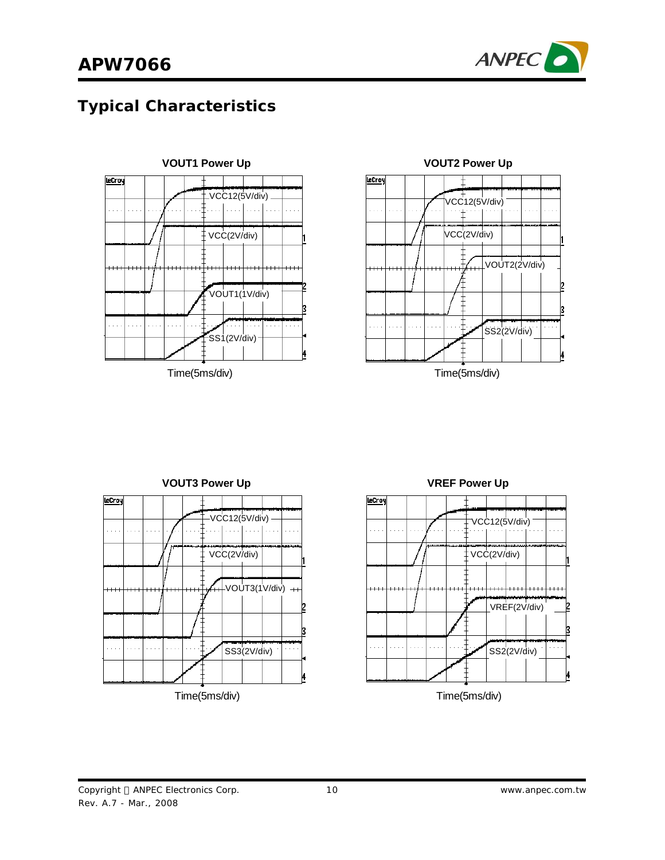

# **Typical Characteristics**







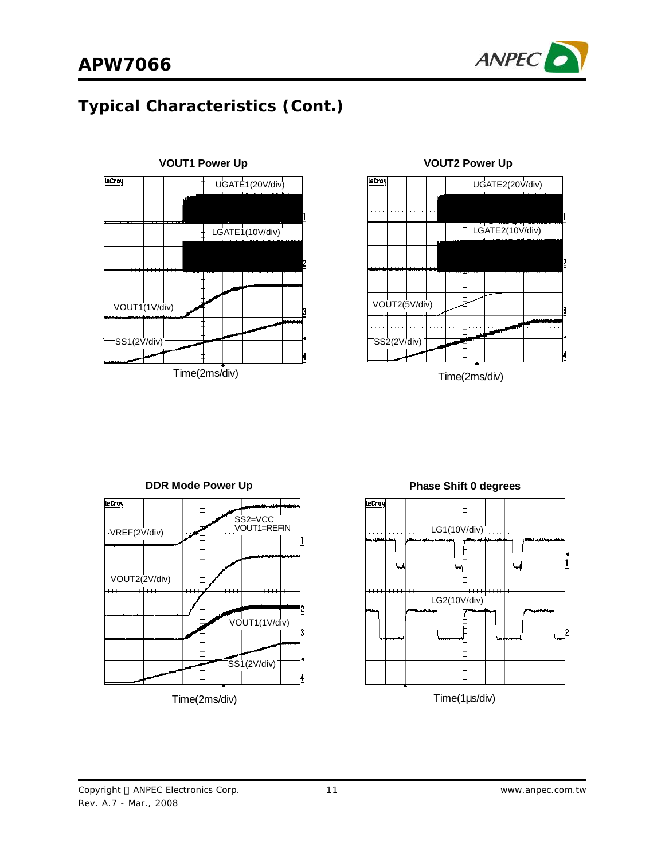







**Phase Shift 0 degrees**

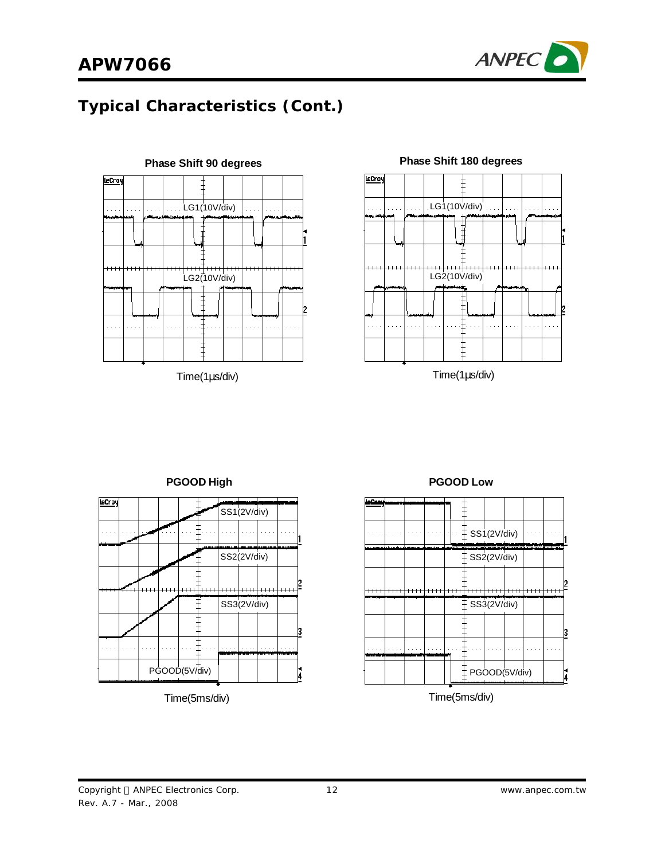





LeCroy SS1(2V/div) . . . SS2(2V/div) SS3(2V/div) 13  $\ddot{\phantom{a}}$  .  $\Box$ PGOOD(5V/div) Й



#### **PGOOD High PGOOD Low**



#### Time(5ms/div)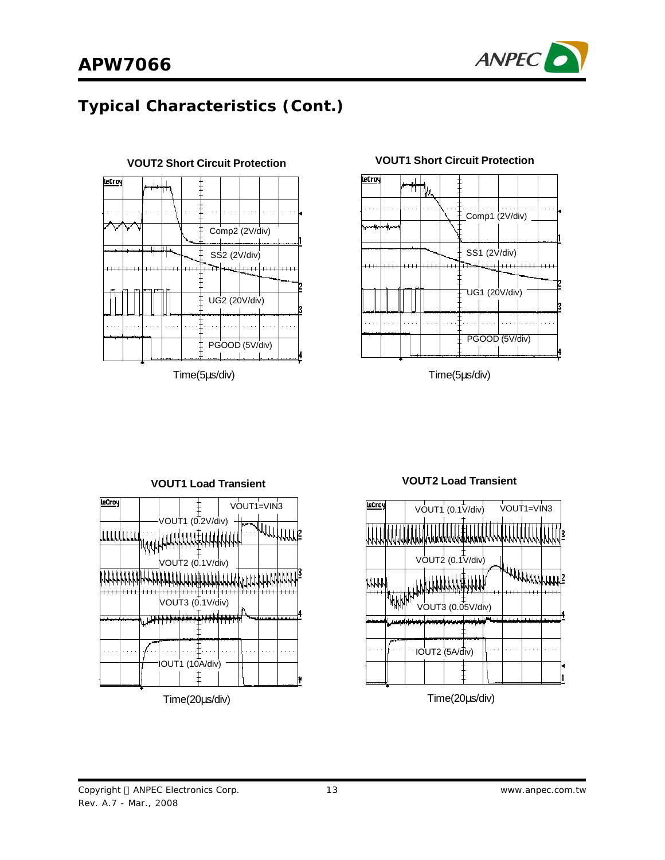

## **APW7066**

### **Typical Characteristics (Cont.)**



Time(5μs/div)



### **VOUT2 Short Circuit Protection VOUT1 Short Circuit Protection**

Time(5μs/div)





Time(20μs/div)

#### Copyright © ANPEC Electronics Corp. Rev. A.7 - Mar., 2008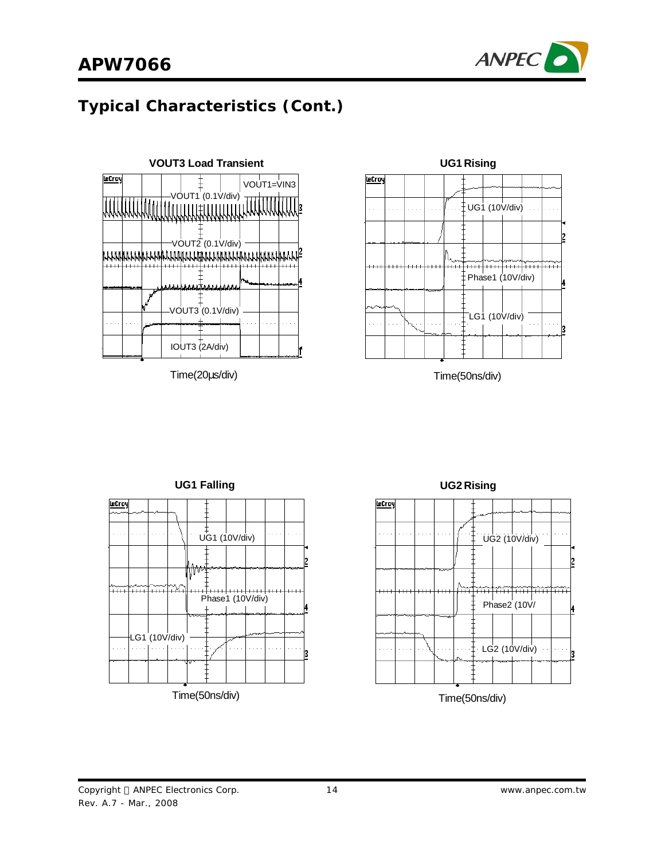



Time(20μs/div)



Time(50ns/div)





Time(50ns/div)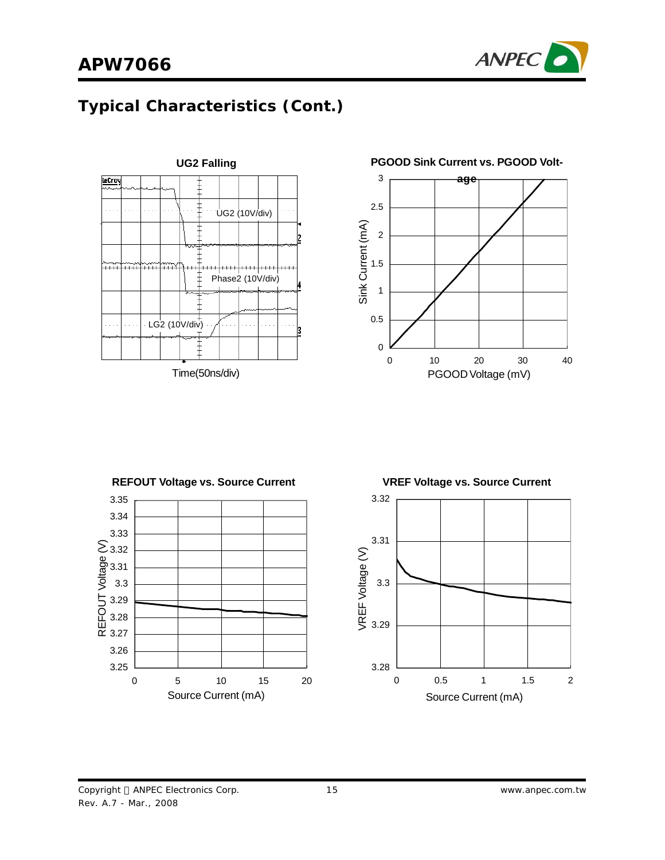





**UG2 Falling PGOOD Sink Current vs. PGOOD Volt-**

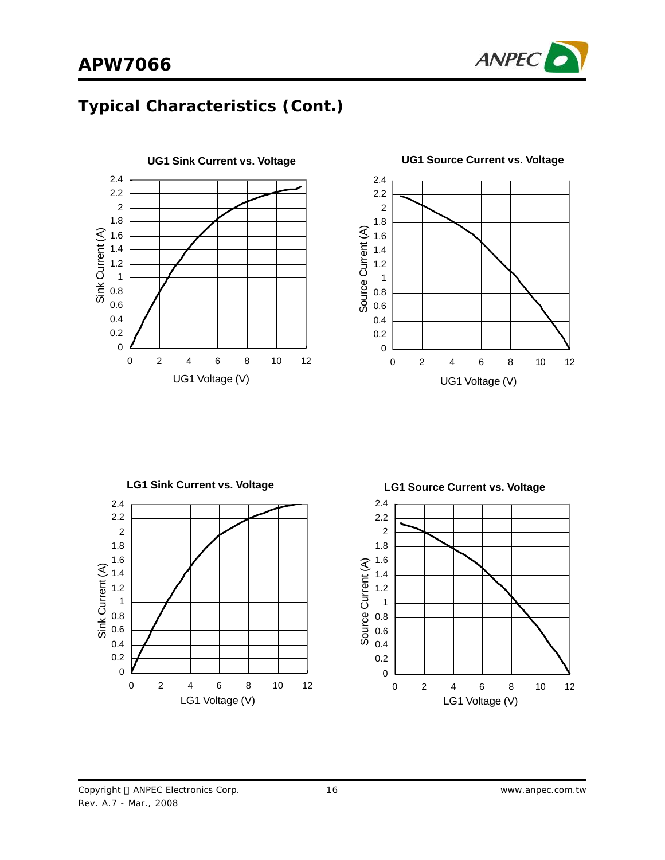







**LG1 Sink Current vs. Voltage LG1 Source Current vs. Voltage**2.4 2.4 2.2 2.2 2 2 1.8 1.8 1.6 1.6 Current (A) Sink Current (A) Sink Current (A) 1.4 1.4 1.2 1.2 1 1 0.8 0.8 Source 0.6 0.6 0.4 0.4 0.2 0.2  $\overline{0}$ 0 0 2 4 6 8 10 12 0 2 4 6 8 10 12 LG1 Voltage (V) and the contract of the LG1 Voltage (V)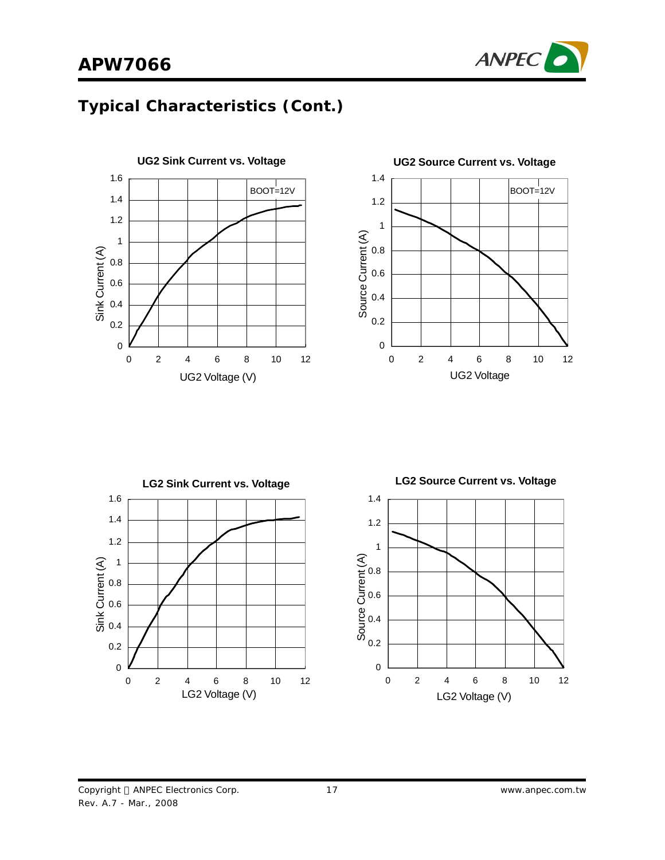# **APW7066**









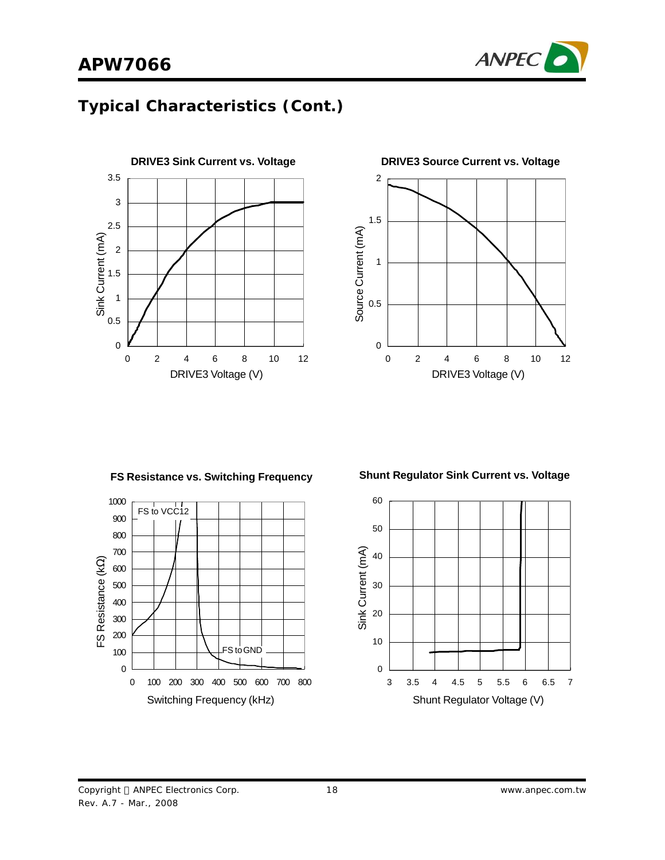





**FS Resistance vs. Switching Frequency**



**Shunt Regulator Sink Current vs. Voltage**

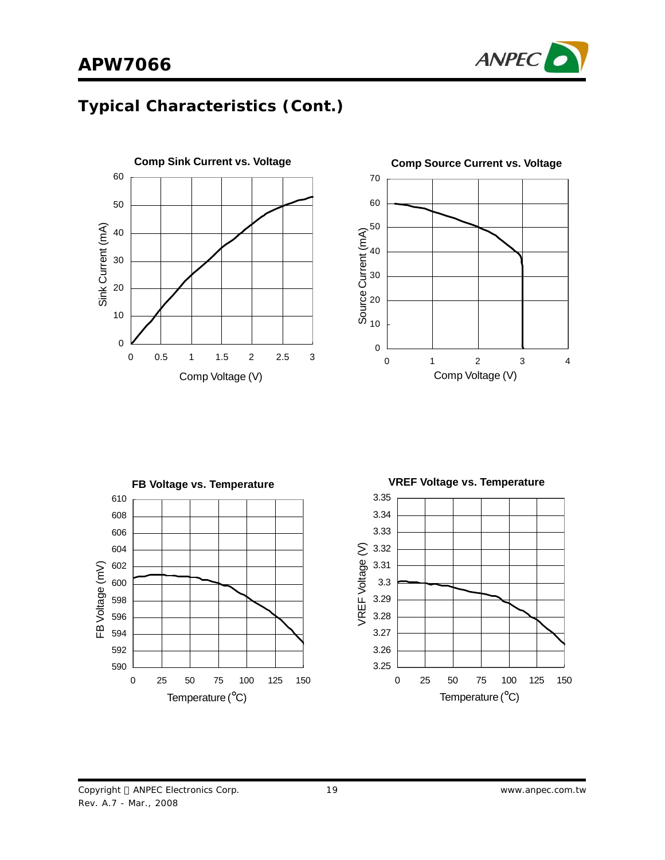







Copyright © ANPEC Electronics Corp. Rev. A.7 - Mar., 2008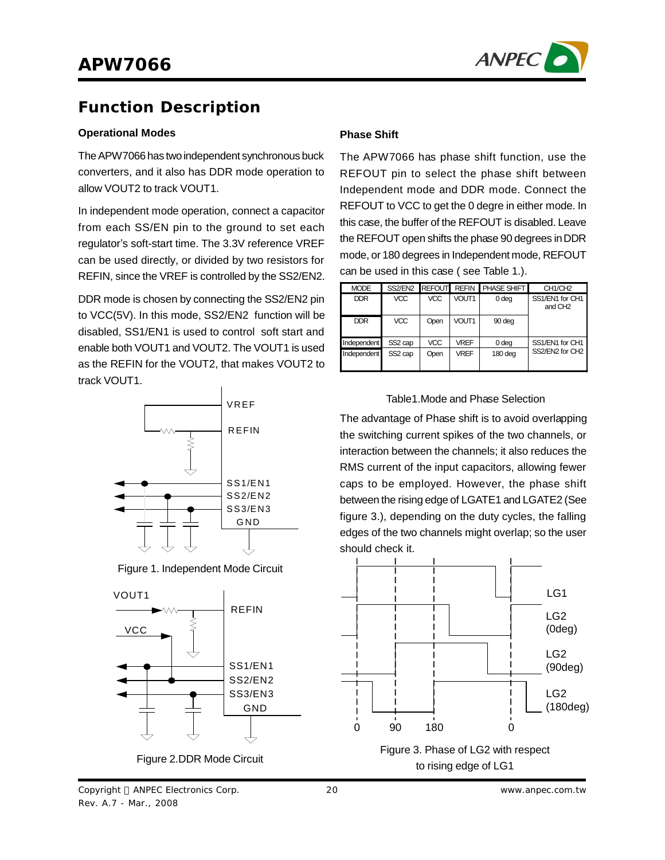

### **Function Description**

#### **Operational Modes**

The APW7066 has two independent synchronous buck converters, and it also has DDR mode operation to allow VOUT2 to track VOUT1.

In independent mode operation, connect a capacitor from each SS/EN pin to the ground to set each regulator's soft-start time. The 3.3V reference VREF can be used directly, or divided by two resistors for REFIN, since the VREF is controlled by the SS2/EN2.

DDR mode is chosen by connecting the SS2/EN2 pin to VCC(5V). In this mode, SS2/EN2 function will be disabled, SS1/EN1 is used to control soft start and enable both VOUT1 and VOUT2. The VOUT1 is used as the REFIN for the VOUT2, that makes VOUT2 to track VOUT1.



Figure 1. Independent Mode Circuit



### **Phase Shift**

The APW7066 has phase shift function, use the REFOUT pin to select the phase shift between Independent mode and DDR mode. Connect the REFOUT to VCC to get the 0 degre in either mode. In this case, the buffer of the REFOUT is disabled. Leave the REFOUT open shifts the phase 90 degrees inDDR mode, or 180 degrees in Independent mode, REFOUT can be used in this case ( see Table 1.).

| <b>MODE</b> |                     |            |                   | SS2/EN2 REFOUT REFIN PHASE SHIFT | CH <sub>1</sub> /CH <sub>2</sub>       |
|-------------|---------------------|------------|-------------------|----------------------------------|----------------------------------------|
| <b>DDR</b>  | <b>VCC</b>          | <b>VCC</b> | VOUT <sub>1</sub> | 0 deg                            | SS1/EN1 for CH1<br>and CH <sub>2</sub> |
| <b>DDR</b>  | <b>VCC</b>          | Open       | VOUT <sub>1</sub> | 90 deg                           |                                        |
| Independent | SS <sub>2</sub> cap | <b>VCC</b> | <b>VREF</b>       | 0 <sub>deg</sub>                 | SS1/EN1 for CH1                        |
| Independent | SS <sub>2</sub> cap | Open       | <b>VRFF</b>       | 180 deg                          | SS2/EN2 for CH2                        |

#### Table1.Mode and Phase Selection

The advantage of Phase shift is to avoid overlapping the switching current spikes of the two channels, or interaction between the channels; it also reduces the RMS current of the input capacitors, allowing fewer caps to be employed. However, the phase shift between the rising edge of LGATE1 and LGATE2 (See figure 3.), depending on the duty cycles, the falling edges of the two channels might overlap; so the user should check it.

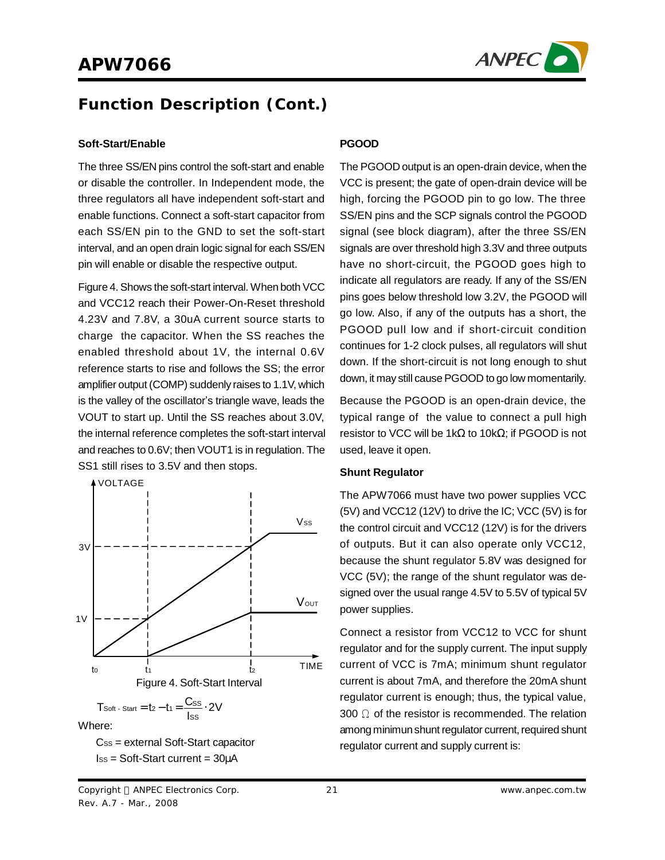

### **Function Description (Cont.)**

#### **Soft-Start/Enable**

The three SS/EN pins control the soft-start and enable or disable the controller. In Independent mode, the three regulators all have independent soft-start and enable functions. Connect a soft-start capacitor from each SS/EN pin to the GND to set the soft-start interval, and an open drain logic signal for each SS/EN pin will enable or disable the respective output.

Figure 4.Shows the soft-start interval. When both VCC and VCC12 reach their Power-On-Reset threshold 4.23V and 7.8V, a 30uA current source starts to charge the capacitor. When the SS reaches the enabled threshold about 1V, the internal 0.6V reference starts to rise and follows the SS; the error amplifier output (COMP) suddenly raises to 1.1V, which is the valley of the oscillator's triangle wave, leads the VOUT to start up. Until the SS reaches about 3.0V, the internal reference completes the soft-start interval and reaches to 0.6V; then VOUT1 is in regulation. The SS1 still rises to 3.5V and then stops.



Where:

 $Cs<sub>ss</sub> =$  external Soft-Start capacitor ISS = Soft-Start current = 30μA

#### **PGOOD**

The PGOOD output is an open-drain device, when the VCC is present; the gate of open-drain device will be high, forcing the PGOOD pin to go low. The three SS/EN pins and the SCP signals control the PGOOD signal (see block diagram), after the three SS/EN signals are over threshold high 3.3V and three outputs have no short-circuit, the PGOOD goes high to indicate all regulators are ready. If any of the SS/EN pins goes below threshold low 3.2V, the PGOOD will go low. Also, if any of the outputs has a short, the PGOOD pull low and if short-circuit condition continues for 1-2 clock pulses, all regulators will shut down. If the short-circuit is not long enough to shut down, it may still cause PGOOD to go low momentarily.

Because the PGOOD is an open-drain device, the typical range of the value to connect a pull high resistor to VCC will be 1kΩ to 10kΩ; if PGOOD is not used, leave it open.

#### **Shunt Regulator**

The APW7066 must have two power supplies VCC (5V) and VCC12 (12V) to drive the IC; VCC (5V) is for the control circuit and VCC12 (12V) is for the drivers of outputs. But it can also operate only VCC12, because the shunt regulator 5.8V was designed for VCC (5V); the range of the shunt regulator was designed over the usual range 4.5V to 5.5V of typical 5V power supplies.

Connect a resistor from VCC12 to VCC for shunt regulator and for the supply current. The input supply current of VCC is 7mA; minimum shunt regulator current is about 7mA, and therefore the 20mA shunt regulator current is enough; thus, the typical value, 300  $\Omega$  of the resistor is recommended. The relation among minimun shunt regulator current, required shunt regulator current and supply current is: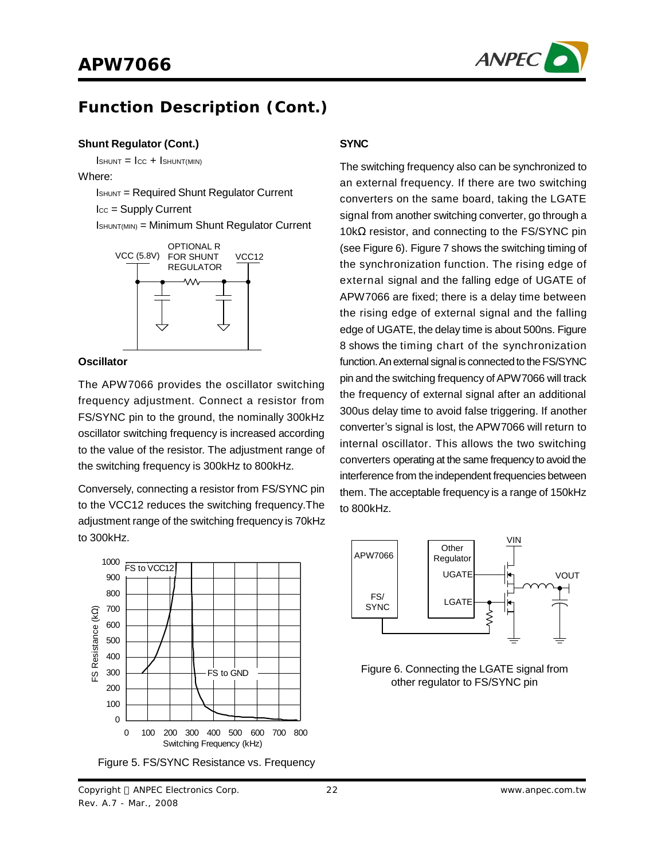

### **Function Description (Cont.)**

#### **Shunt Regulator (Cont.)**

 $I$ SHUNT =  $I_{CC}$  +  $I$ SHUNT(MIN)

Where:

ISHUNT = Required Shunt Regulator Current

ICC = Supply Current

ISHUNT(MIN) = Minimum Shunt Regulator Current



#### **Oscillator**

The APW7066 provides the oscillator switching frequency adjustment. Connect a resistor from FS/SYNC pin to the ground, the nominally 300kHz oscillator switching frequency is increased according to the value of the resistor. The adjustment range of the switching frequency is 300kHz to 800kHz.

Conversely, connecting a resistor from FS/SYNC pin to the VCC12 reduces the switching frequency.The adjustment range of the switching frequency is 70kHz to 300kHz.



Figure 5. FS/SYNC Resistance vs. Frequency

#### **SYNC**

The switching frequency also can be synchronized to an external frequency. If there are two switching converters on the same board, taking the LGATE signal from another switching converter, go through a 10kΩ resistor, and connecting to the FS/SYNC pin (see Figure 6). Figure 7 shows the switching timing of the synchronization function. The rising edge of external signal and the falling edge of UGATE of APW7066 are fixed; there is a delay time between the rising edge of external signal and the falling edge of UGATE, the delay time is about 500ns. Figure 8 shows the timing chart of the synchronization function. An external signal is connected to the FS/SYNC pin and the switching frequency of APW7066 will track the frequency of external signal after an additional 300us delay time to avoid false triggering. If another converter's signal is lost, the APW7066 will return to internal oscillator. This allows the two switching converters operating at the same frequency to avoid the interference from the independent frequencies between them. The acceptable frequency is a range of 150kHz to 800kHz.



Figure 6. Connecting the LGATE signal from other regulator to FS/SYNC pin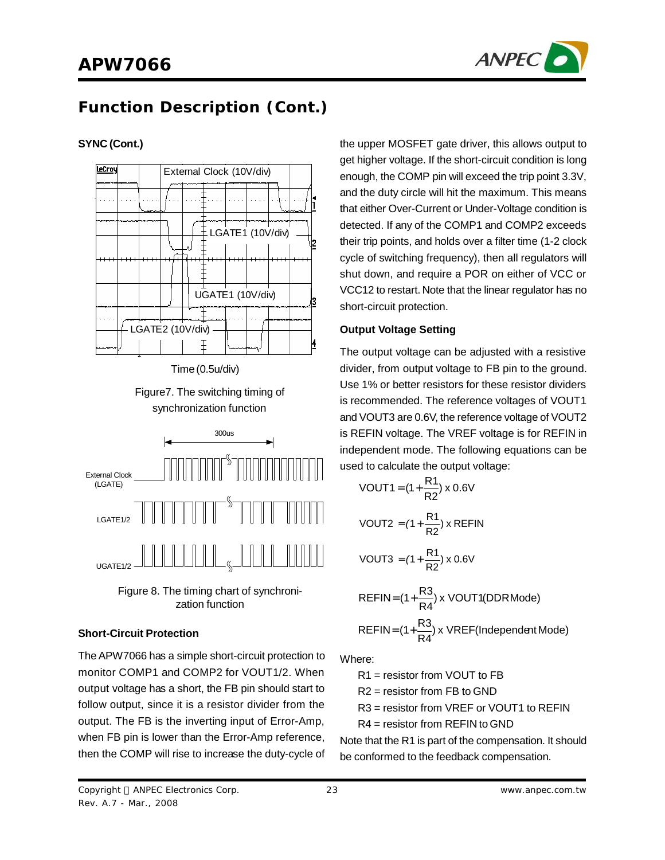

# **Function Description (Cont.)**

### **SYNC (Cont.)**



Time (0.5u/div)





Figure 8. The timing chart of synchronization function

### **Short-Circuit Protection**

The APW7066 has a simple short-circuit protection to monitor COMP1 and COMP2 for VOUT1/2. When output voltage has a short, the FB pin should start to follow output, since it is a resistor divider from the output. The FB is the inverting input of Error-Amp, when FB pin is lower than the Error-Amp reference, then the COMP will rise to increase the duty-cycle of the upper MOSFET gate driver, this allows output to get higher voltage. If the short-circuit condition is long enough, the COMP pin will exceed the trip point 3.3V, and the duty circle will hit the maximum. This means that either Over-Current or Under-Voltage condition is detected. If any of the COMP1 and COMP2 exceeds their trip points, and holds over a filter time (1-2 clock cycle of switching frequency), then all regulators will shut down, and require a POR on either of VCC or VCC12 to restart. Note that the linear regulator has no short-circuit protection.

#### **Output Voltage Setting**

The output voltage can be adjusted with a resistive divider, from output voltage to FB pin to the ground. Use 1% or better resistors for these resistor dividers is recommended. The reference voltages of VOUT1 and VOUT3 are 0.6V, the reference voltage of VOUT2 is REFIN voltage. The VREF voltage is for REFIN in independent mode. The following equations can be used to calculate the output voltage:

$$
VOUT1 = (1 + \frac{R1}{R2}) \times 0.6\text{V}
$$
\n
$$
\text{VOUT2} = (1 + \frac{R1}{R2}) \times \text{REFIN}
$$
\n
$$
\text{VOUT3} = (1 + \frac{R1}{R2}) \times 0.6\text{V}
$$
\n
$$
\text{REFIN} = (1 + \frac{R3}{R4}) \times \text{VOUT1(DDRMode)}
$$
\n
$$
\text{REFIN} = (1 + \frac{R3}{R4}) \times \text{VREF(Independent Mode)}
$$

Where:

R1 = resistor from VOUT to FB

R2 = resistor from FB to GND

R3 = resistor from VREF or VOUT1 to REFIN

R4 = resistor from REFIN to GND

Note that the R1 is part of the compensation. It should be conformed to the feedback compensation.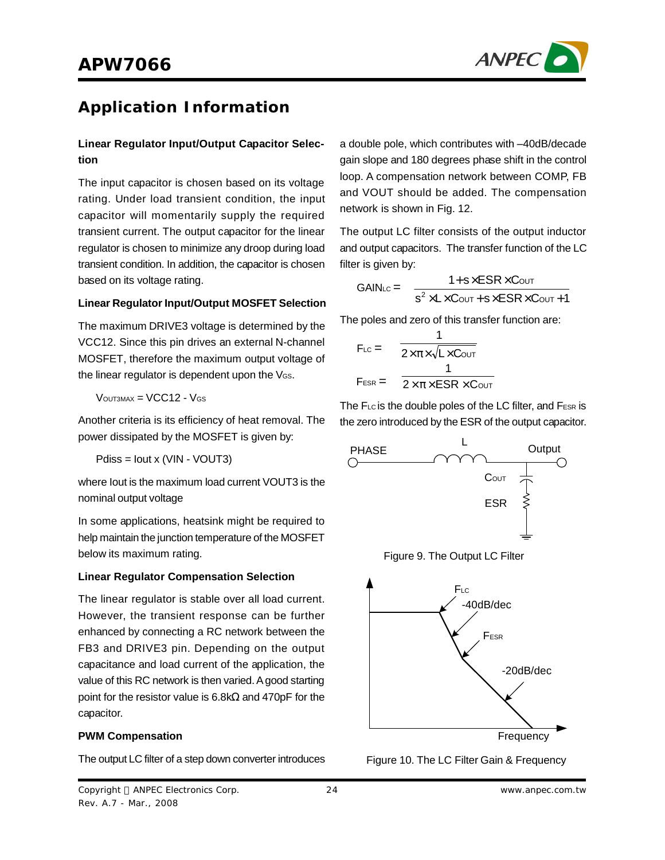

### **Application Information**

### **Linear Regulator Input/Output Capacitor Selection**

The input capacitor is chosen based on its voltage rating. Under load transient condition, the input capacitor will momentarily supply the required transient current. The output capacitor for the linear regulator is chosen to minimize any droop during load transient condition. In addition, the capacitor is chosen based on its voltage rating.

#### **Linear Regulator Input/Output MOSFET Selection**

The maximum DRIVE3 voltage is determined by the VCC12. Since this pin drives an external N-channel MOSFET, therefore the maximum output voltage of the linear regulator is dependent upon the VGS.

 $V$ OUT3MAX =  $VCC12 - V$ GS

Another criteria is its efficiency of heat removal. The power dissipated by the MOSFET is given by:

Pdiss = Iout x (VIN - VOUT3)

where Iout is the maximum load current VOUT3 is the nominal output voltage

In some applications, heatsink might be required to help maintain the junction temperature of the MOSFET below its maximum rating.

#### **Linear Regulator Compensation Selection**

The linear regulator is stable over all load current. However, the transient response can be further enhanced by connecting a RC network between the FB3 and DRIVE3 pin. Depending on the output capacitance and load current of the application, the value of this RC network is then varied. Agood starting point for the resistor value is 6.8kΩ and 470pF for the capacitor.

#### **PWM Compensation**

The output LC filter of a step down converter introduces

a double pole, which contributes with –40dB/decade gain slope and 180 degrees phase shift in the control loop. A compensation network between COMP, FB and VOUT should be added. The compensation network is shown in Fig. 12.

The output LC filter consists of the output inductor and output capacitors. The transfer function of the LC filter is given by:

$$
GAIN_{LC} = \frac{1+s \times ESR \times CovT}{s^2 \times L \times CovT + s \times ESR \times CovT + 1}
$$

The poles and zero of this transfer function are:

$$
F_{LC} = \frac{1}{2 \times \pi \times \sqrt{L \times CovT}}
$$
  

$$
F_{ESR} = \frac{1}{2 \times \pi \times ESR \times CovT}
$$

The FLc is the double poles of the LC filter, and FESR is the zero introduced by the ESR of the output capacitor.







Figure 10. The LC Filter Gain & Frequency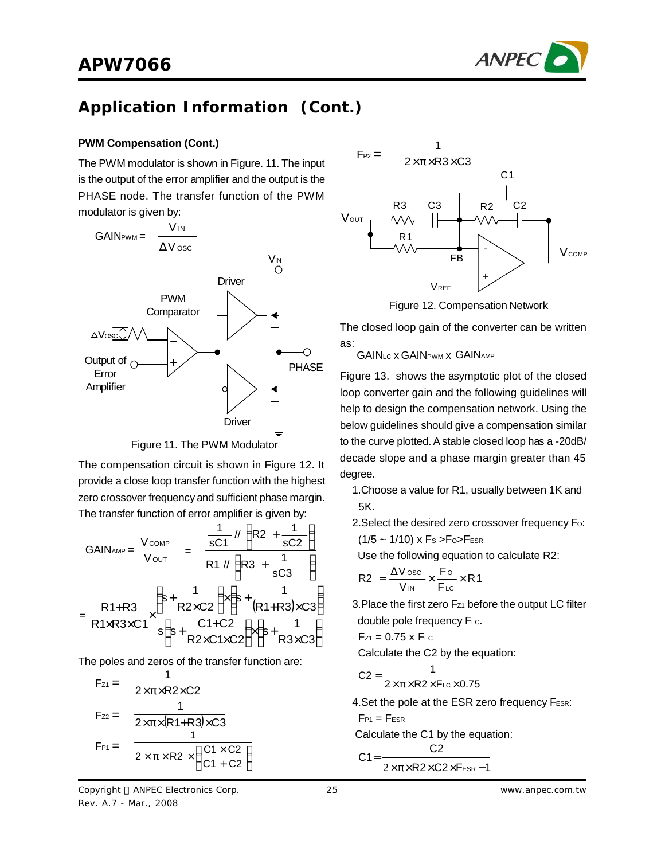

#### **PWM Compensation (Cont.)**

The PWM modulator is shown in Figure. 11. The input is the output of the error amplifier and the output is the PHASE node. The transfer function of the PWM modulator is given by:



Figure 11. The PWM Modulator

The compensation circuit is shown in Figure 12. It provide a close loop transfer function with the highest zero crossover frequency and sufficient phase margin. The transfer function of error amplifier is given by:

$$
GAIN_{AMP} = \frac{V_{COMP}}{V_{OUT}} = \frac{\frac{1}{sC1} \sqrt{R2 + \frac{1}{sC2}}}{R1 \sqrt{R3 + \frac{1}{sC3}}}
$$

$$
= \frac{R1 + R3}{R1 \times R3 \times C1} \times \frac{\left(s + \frac{1}{R2 \times C2}\right) \times \left(s + \frac{1}{(R1 + R3) \times C3}\right)}{s\left(s + \frac{C1 + C2}{R2 \times C1 \times C2}\right) \times \left(s + \frac{1}{R3 \times C3}\right)}
$$

The poles and zeros of the transfer function are:

$$
F_{Z1} = \frac{1}{2 \times \pi \times R2 \times C2}
$$
  
\n
$$
F_{Z2} = \frac{1}{2 \times \pi \times (R1 + R3) \times C3}
$$
  
\n
$$
F_{P1} = \frac{1}{2 \times \pi \times R2 \times (\frac{C1 \times C2}{C1 + C2})}
$$





Figure 12. Compensation Network

The closed loop gain of the converter can be written as:

GAIN<sub>LC</sub> x GAIN<sub>PWM</sub> x GAIN<sub>AMP</sub>

Figure 13. shows the asymptotic plot of the closed loop converter gain and the following guidelines will help to design the compensation network. Using the below guidelines should give a compensation similar to the curve plotted. A stable closed loop has a -20dB/ decade slope and a phase margin greater than 45 degree.

- 1.Choose a value for R1, usually between 1K and 5K.
- 2. Select the desired zero crossover frequency Fo:  $(1/5 \sim 1/10)$  x Fs > Fo> FESR

Use the following equation to calculate R2:

$$
R2\ = \frac{\Delta V_{\rm{osc}}}{V_{\rm{IN}}} \times \frac{F_{\rm{O}}}{F_{\rm{LC}}} \times R1
$$

3. Place the first zero  $F_{Z1}$  before the output LC filter double pole frequency FLc.

$$
F_{Z1} = 0.75 \times F_{LC}
$$

Calculate the C2 by the equation:

$$
C2 = \frac{1}{2 \times \pi \times R2 \times F_{LC} \times 0.75}
$$

4. Set the pole at the ESR zero frequency FESR:

$$
F_{\text{P1}}=F_{\text{ESR}}
$$

Calculate the C1 by the equation:

$$
C1 = \frac{C2}{2 \times \pi \times R2 \times C2 \times F_{ESR} - 1}
$$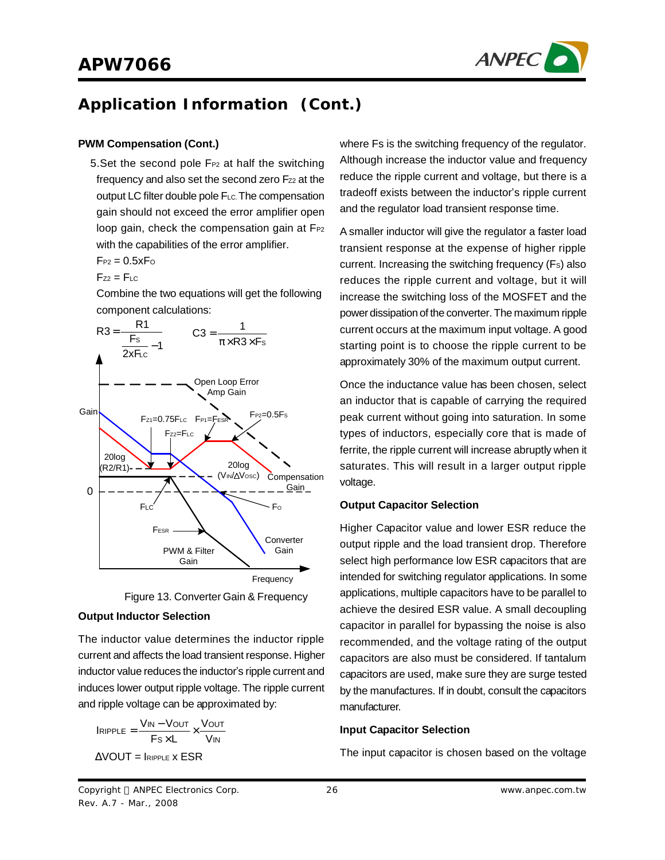

#### **PWM Compensation (Cont.)**

5. Set the second pole  $F_{P2}$  at half the switching frequency and also set the second zero Fz2 at the output LC filter double pole FLC. The compensation gain should not exceed the error amplifier open loop gain, check the compensation gain at  $F_{P2}$ with the capabilities of the error amplifier.

 $F_{P2} = 0.5xF_0$ 

$$
F_{Z2}=F_{\mathsf{LC}}
$$

Combine the two equations will get the following component calculations:





#### **Output Inductor Selection**

The inductor value determines the inductor ripple current and affects the load transient response. Higher inductor value reduces the inductor's ripple current and induces lower output ripple voltage. The ripple current and ripple voltage can be approximated by:

$$
IRIPPLE = \frac{V_{IN} - V_{OUT}}{Fs \times L} \times \frac{V_{OUT}}{V_{IN}}
$$

$$
\Delta VOUT = IRIPPLE \times ESR
$$

where Fs is the switching frequency of the regulator. Although increase the inductor value and frequency reduce the ripple current and voltage, but there is a tradeoff exists between the inductor's ripple current and the regulator load transient response time.

A smaller inductor will give the regulator a faster load transient response at the expense of higher ripple current. Increasing the switching frequency (Fs) also reduces the ripple current and voltage, but it will increase the switching loss of the MOSFET and the power dissipation of the converter.The maximum ripple current occurs at the maximum input voltage. A good starting point is to choose the ripple current to be approximately 30% of the maximum output current.

Once the inductance value has been chosen, select an inductor that is capable of carrying the required peak current without going into saturation. In some types of inductors, especially core that is made of ferrite, the ripple current will increase abruptly when it saturates. This will result in a larger output ripple voltage.

#### **Output Capacitor Selection**

Higher Capacitor value and lower ESR reduce the output ripple and the load transient drop. Therefore select high performance low ESR capacitors that are intended for switching regulator applications. In some applications, multiple capacitors have to be parallel to achieve the desired ESR value. A small decoupling capacitor in parallel for bypassing the noise is also recommended, and the voltage rating of the output capacitors are also must be considered. If tantalum capacitors are used, make sure they are surge tested by the manufactures. If in doubt, consult the capacitors manufacturer.

#### **Input Capacitor Selection**

The input capacitor is chosen based on the voltage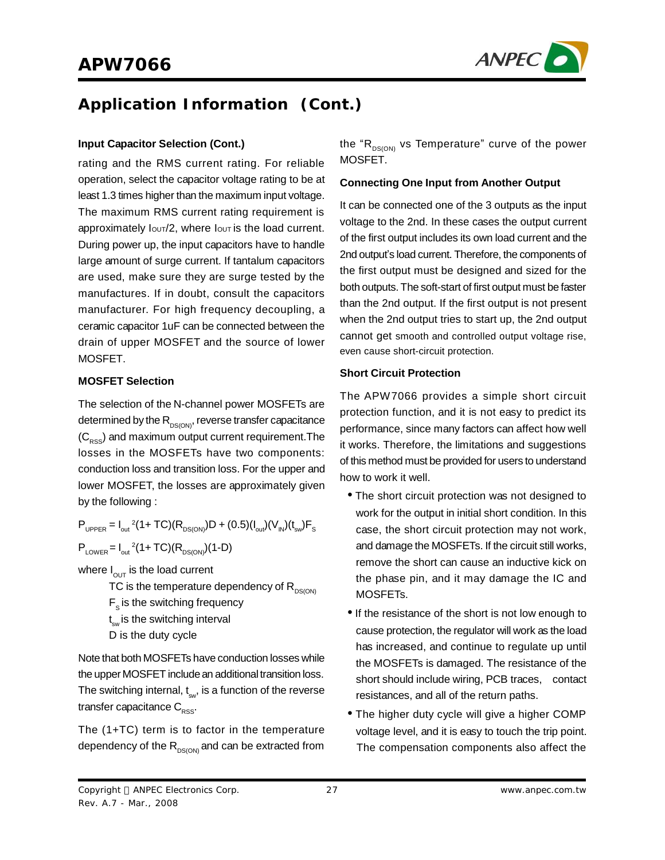

#### **Input Capacitor Selection (Cont.)**

rating and the RMS current rating. For reliable operation, select the capacitor voltage rating to be at least 1.3 times higher than the maximum input voltage. The maximum RMS current rating requirement is approximately  $I_{\text{OUT}}/2$ , where  $I_{\text{OUT}}$  is the load current. During power up, the input capacitors have to handle large amount of surge current. If tantalum capacitors are used, make sure they are surge tested by the manufactures. If in doubt, consult the capacitors manufacturer. For high frequency decoupling, a ceramic capacitor 1uF can be connected between the drain of upper MOSFET and the source of lower MOSFET.

#### **MOSFET Selection**

The selection of the N-channel power MOSFETs are determined by the  $R_{DS(ON)}$ , reverse transfer capacitance  $(C<sub>RSS</sub>)$  and maximum output current requirement. The losses in the MOSFETs have two components: conduction loss and transition loss. For the upper and lower MOSFET, the losses are approximately given by the following :

 $P_{\text{UPPER}} = I_{\text{out}}^2 (1 + TC)(R_{\text{DS(ON)}})D + (0.5)(I_{\text{out}})(V_{\text{IN}})(t_{\text{sw}})F_{\text{S}}$  $P_{\text{Lower}} = I_{\text{out}}^2 (1 + TC)(R_{\text{DS(ON)}})(1-D)$ 

where  $I_{\text{OUT}}$  is the load current

TC is the temperature dependency of  $R_{DS(ON)}$ 

- $F_s$  is the switching frequency
- t<sub>sw</sub> is the switching interval
- D is the duty cycle

Note that both MOSFETs have conduction losses while the upper MOSFET include an additional transition loss. The switching internal,  $\mathfrak{t}_{\mathrm{sw}}$ , is a function of the reverse transfer capacitance  $C_{\text{pss}}$ .

The (1+TC) term is to factor in the temperature dependency of the  $R_{DS(ON)}$  and can be extracted from the " $R_{DS(ON)}$  vs Temperature" curve of the power MOSFET.

#### **Connecting One Input from Another Output**

It can be connected one of the 3 outputs as the input voltage to the 2nd. In these cases the output current of the first output includes its own load current and the 2nd output's load current. Therefore, the components of the first output must be designed and sized for the both outputs. The soft-start of first output must be faster than the 2nd output. If the first output is not present when the 2nd output tries to start up, the 2nd output cannot get smooth and controlled output voltage rise, even cause short-circuit protection.

#### **Short Circuit Protection**

The APW7066 provides a simple short circuit protection function, and it is not easy to predict its performance, since many factors can affect how well it works. Therefore, the limitations and suggestions of this method must be provided for users to understand how to work it well.

- The short circuit protection was not designed to work for the output in initial short condition. In this case, the short circuit protection may not work, and damage the MOSFETs. If the circuit still works, remove the short can cause an inductive kick on the phase pin, and it may damage the IC and MOSFETs.
- If the resistance of the short is not low enough to cause protection, the regulator will work as the load has increased, and continue to regulate up until the MOSFETs is damaged. The resistance of the short should include wiring, PCB traces, contact resistances, and all of the return paths.
- The higher duty cycle will give a higher COMP voltage level, and it is easy to touch the trip point. The compensation components also affect the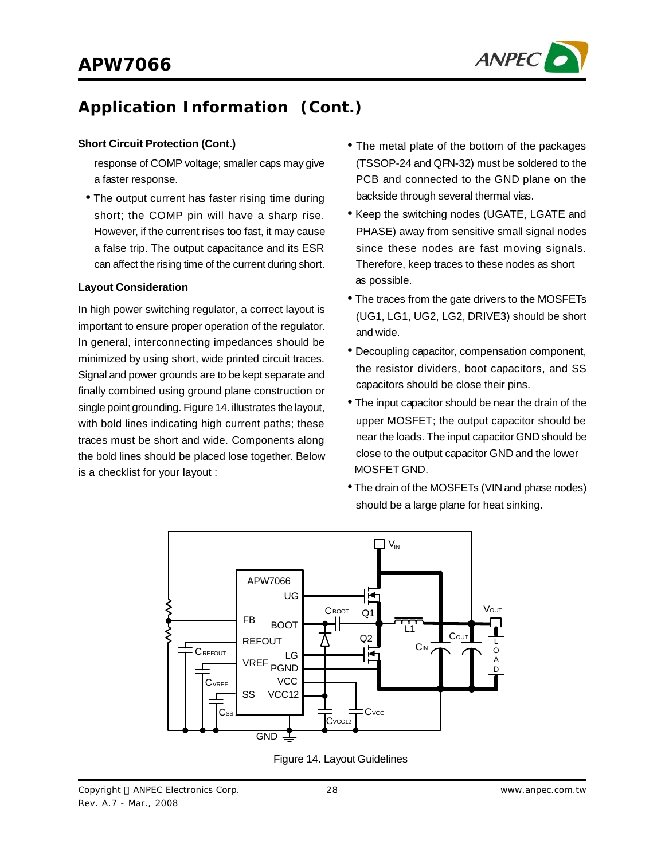

#### **Short Circuit Protection (Cont.)**

response of COMP voltage; smaller caps may give a faster response.

• The output current has faster rising time during short; the COMP pin will have a sharp rise. However, if the current rises too fast, it may cause a false trip. The output capacitance and its ESR can affect the rising time of the current during short.

#### **Layout Consideration**

In high power switching regulator, a correct layout is important to ensure proper operation of the regulator. In general, interconnecting impedances should be minimized by using short, wide printed circuit traces. Signal and power grounds are to be kept separate and finally combined using ground plane construction or single point grounding. Figure 14. illustrates the layout, with bold lines indicating high current paths; these traces must be short and wide. Components along the bold lines should be placed lose together. Below is a checklist for your layout :

- The metal plate of the bottom of the packages (TSSOP-24 and QFN-32) must be soldered to the PCB and connected to the GND plane on the backside through several thermal vias.
- Keep the switching nodes (UGATE, LGATE and PHASE) away from sensitive small signal nodes since these nodes are fast moving signals. Therefore, keep traces to these nodes as short as possible.
- The traces from the gate drivers to the MOSFETs (UG1, LG1, UG2, LG2, DRIVE3) should be short and wide.
- Decoupling capacitor, compensation component, the resistor dividers, boot capacitors, and SS capacitors should be close their pins.
- The input capacitor should be near the drain of the upper MOSFET; the output capacitor should be near the loads. The input capacitor GND should be close to the output capacitor GND and the lower MOSFET GND.
- The drain of the MOSFETs (VIN and phase nodes) should be a large plane for heat sinking.



Figure 14. Layout Guidelines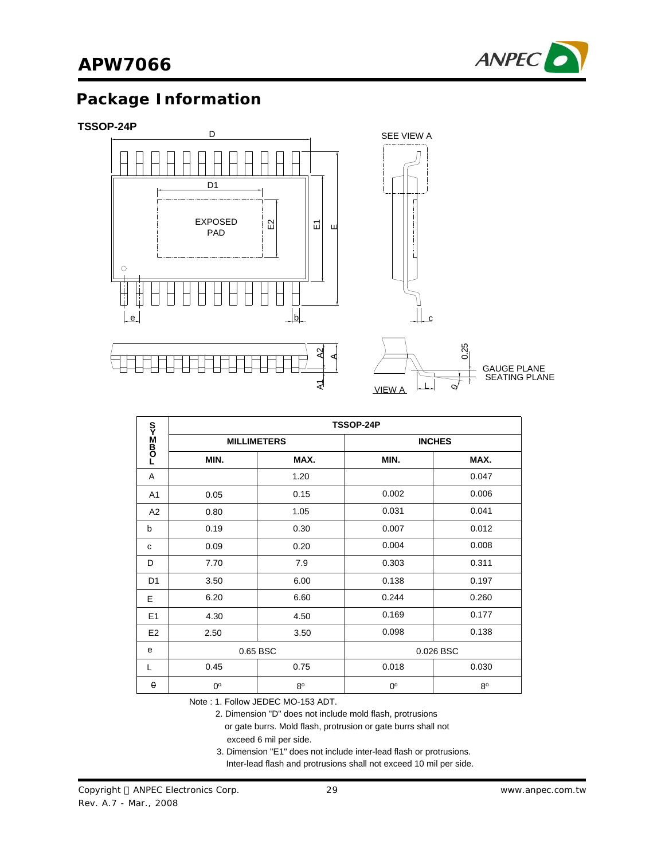

### **Package Information**

#### **TSSOP-24P**



|                   | TSSOP-24P          |             |             |               |  |
|-------------------|--------------------|-------------|-------------|---------------|--|
| <b>LOmM</b><br>Do | <b>MILLIMETERS</b> |             |             | <b>INCHES</b> |  |
|                   | MIN.               | MAX.        | MIN.        | MAX.          |  |
| A                 |                    | 1.20        |             | 0.047         |  |
| A1                | 0.05               | 0.15        | 0.002       | 0.006         |  |
| A <sub>2</sub>    | 0.80               | 1.05        | 0.031       | 0.041         |  |
| b                 | 0.19               | 0.30        | 0.007       | 0.012         |  |
| C                 | 0.09               | 0.20        | 0.004       | 0.008         |  |
| D                 | 7.70               | 7.9         | 0.303       | 0.311         |  |
| D <sub>1</sub>    | 3.50               | 6.00        | 0.138       | 0.197         |  |
| E                 | 6.20               | 6.60        | 0.244       | 0.260         |  |
| E <sub>1</sub>    | 4.30               | 4.50        | 0.169       | 0.177         |  |
| E <sub>2</sub>    | 2.50               | 3.50        | 0.098       | 0.138         |  |
| e                 | 0.65 BSC           |             |             | 0.026 BSC     |  |
| L                 | 0.45               | 0.75        | 0.018       | 0.030         |  |
| $\theta$          | 0°                 | $8^{\circ}$ | $0^{\circ}$ | $8^{\circ}$   |  |

Note : 1. Follow JEDEC MO-153 ADT.

2. Dimension "D" does not include mold flash, protrusions

or gate burrs. Mold flash, protrusion or gate burrs shall not

exceed 6 mil per side.

3. Dimension "E1" does not include inter-lead flash or protrusions.

Inter-lead flash and protrusions shall not exceed 10 mil per side.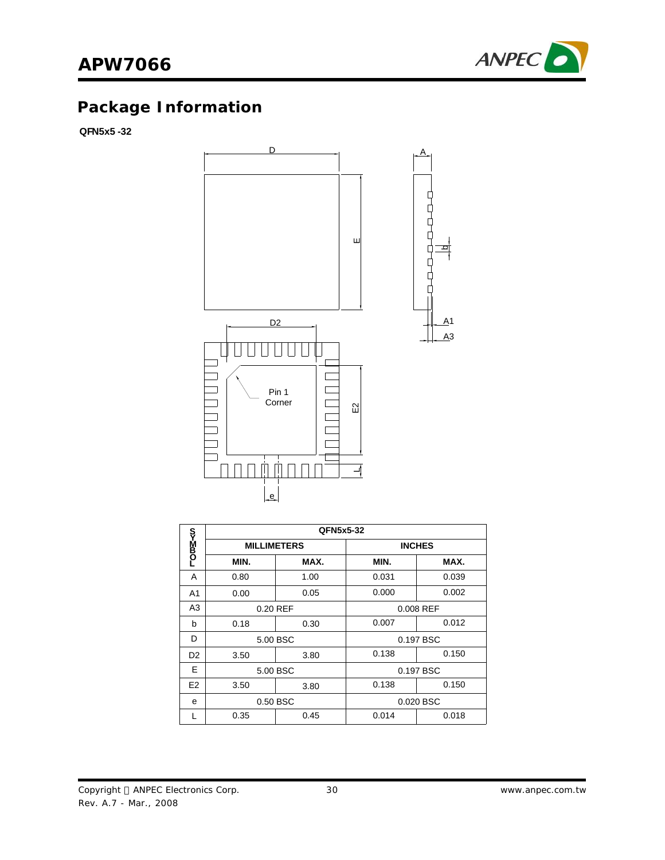

# **Package Information**

**QFN5x5 -32**



|                |                    | QFN5x5-32 |           |               |
|----------------|--------------------|-----------|-----------|---------------|
| სა≌40–         | <b>MILLIMETERS</b> |           |           | <b>INCHES</b> |
|                | MIN.               | MAX.      | MIN.      | MAX.          |
| A              | 0.80               | 1.00      | 0.031     | 0.039         |
| A <sub>1</sub> | 0.00               | 0.05      | 0.000     | 0.002         |
| A <sub>3</sub> | 0.20 REF           |           | 0.008 REF |               |
| b              | 0.18               | 0.30      | 0.007     | 0.012         |
| D              | 5.00 BSC           |           | 0.197 BSC |               |
| D <sub>2</sub> | 3.50               | 3.80      | 0.138     | 0.150         |
| E              | 5.00 BSC           |           |           | 0.197 BSC     |
| E <sub>2</sub> | 3.50               | 3.80      | 0.138     | 0.150         |
| e              |                    | 0.50 BSC  |           | 0.020 BSC     |
|                | 0.35               | 0.45      | 0.014     | 0.018         |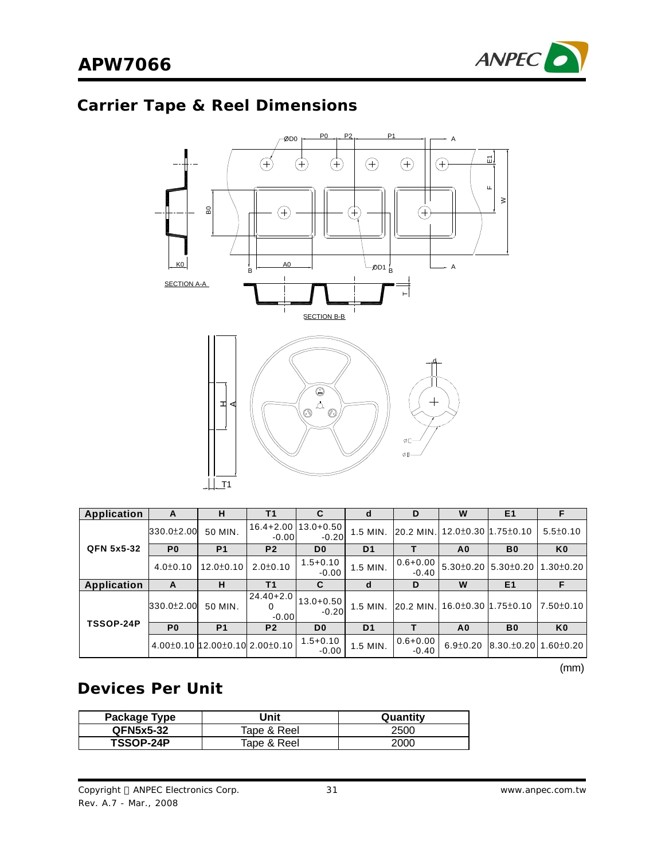# **Carrier Tape & Reel Dimensions**



| <b>Application</b> | A                | н                                              | Τ1                            |                                    | d              | D                       | W                             | E <sub>1</sub>                |                  |
|--------------------|------------------|------------------------------------------------|-------------------------------|------------------------------------|----------------|-------------------------|-------------------------------|-------------------------------|------------------|
|                    | $330.0 \pm 2.00$ | 50 MIN.                                        | $-0.00$                       | 16.4+2.00   13.0+0.50  <br>$-0.20$ | 1.5 MIN.       |                         | 20.2 MIN. 12.0±0.30 1.75±0.10 |                               | $5.5 \pm 0.10$   |
| <b>QFN 5x5-32</b>  | P <sub>0</sub>   | P <sub>1</sub>                                 | P <sub>2</sub>                | D <sub>0</sub>                     | D <sub>1</sub> |                         | A0                            | B <sub>0</sub>                | K <sub>0</sub>   |
|                    | $4.0 \pm 0.10$   | $12.0 \pm 0.10$                                | $2.0 \pm 0.10$                | $1.5 + 0.10$<br>$-0.00$            | 1.5 MIN.       | $0.6 + 0.00$<br>$-0.40$ |                               | 5.30±0.20 5.30±0.20 1.30±0.20 |                  |
| <b>Application</b> | A                | н                                              | Τ1                            | С                                  | a              | D                       | W                             | E <sub>1</sub>                |                  |
|                    | 330.0±2.00       | 50 MIN.                                        | $24.40 + 2.0$<br>0<br>$-0.00$ | $13.0 + 0.50$<br>$-0.20$           | $1.5$ MIN.     |                         | 20.2 MIN. 16.0±0.30 1.75±0.10 |                               | $17.50 \pm 0.10$ |
| <b>TSSOP-24P</b>   | P <sub>0</sub>   | P <sub>1</sub>                                 | P <sub>2</sub>                | D <sub>0</sub>                     | D <sub>1</sub> |                         | A <sub>0</sub>                | B <sub>0</sub>                | K <sub>0</sub>   |
|                    |                  | $4.00\pm0.10$ 12.00 $\pm$ 0.10 2.00 $\pm$ 0.10 |                               | $1.5 + 0.10$<br>$-0.00$            | 1.5 MIN.       | $0.6 + 0.00$<br>$-0.40$ | $6.9 \pm 0.20$                | $8.30.+0.20 1.60.+0.20 $      |                  |

(mm)

### **Devices Per Unit**

| Package Type     | Jnit        | Quantity |
|------------------|-------------|----------|
| <b>QFN5x5-32</b> | Tape & Reel | 2500     |
| TSSOP-24P        | Tape & Reel | 2000     |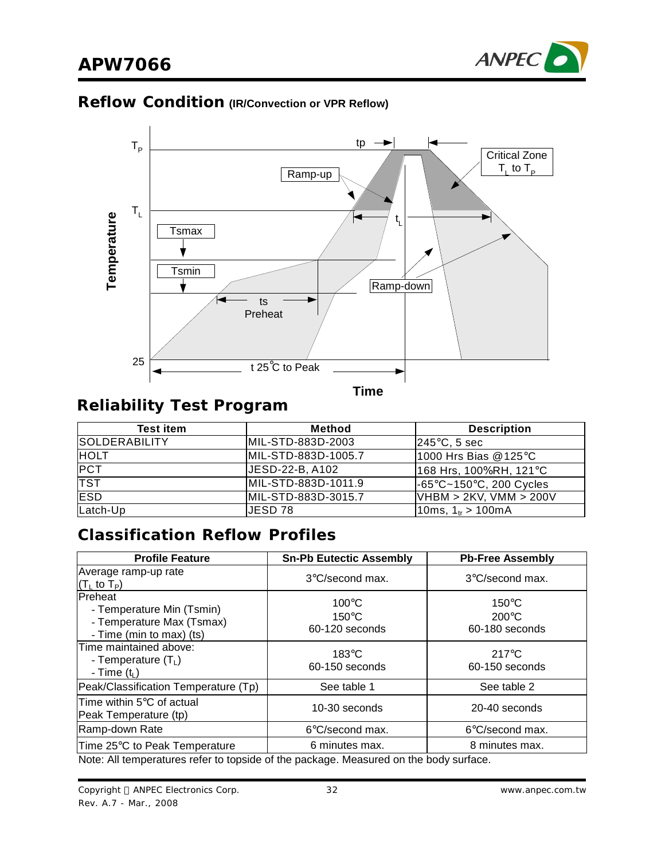

### **Reflow Condition (IR/Convection or VPR Reflow)**



# **Reliability Test Program**

| <b>Test item</b>     | <b>Method</b>       | <b>Description</b>                           |
|----------------------|---------------------|----------------------------------------------|
| <b>SOLDERABILITY</b> | MIL-STD-883D-2003   | $ 245^{\circ}$ C, 5 sec                      |
| <b>HOLT</b>          | MIL-STD-883D-1005.7 | 1000 Hrs Bias @ 125°C                        |
| <b>PCT</b>           | JESD-22-B, A102     | 168 Hrs, 100%RH, 121°C                       |
| <b>TST</b>           | MIL-STD-883D-1011.9 | $-65^{\circ}$ C~150 $^{\circ}$ C, 200 Cycles |
| <b>ESD</b>           | MIL-STD-883D-3015.7 | VHBM > 2KV, VMM > 200V                       |
| Latch-Up             | JESD 78             | 10ms, 1 <sub>tr</sub> > 100mA                |

### **Classification Reflow Profiles**

| <b>Profile Feature</b>                                                                                | <b>Sn-Pb Eutectic Assembly</b>                       | <b>Pb-Free Assembly</b>                              |  |  |  |
|-------------------------------------------------------------------------------------------------------|------------------------------------------------------|------------------------------------------------------|--|--|--|
| Average ramp-up rate<br>$(TL$ to $TP)$                                                                | $3^{\circ}$ C/second max.                            | 3°C/second max.                                      |  |  |  |
| <b>IPreheat</b><br>- Temperature Min (Tsmin)<br>- Temperature Max (Tsmax)<br>- Time (min to max) (ts) | $100^{\circ}$ C<br>$150^{\circ}$ C<br>60-120 seconds | $150^{\circ}$ C<br>$200^{\circ}$ C<br>60-180 seconds |  |  |  |
| Time maintained above:<br>- Temperature $(T_L)$<br>- Time $(t_L)$                                     | $183^\circ C$<br>60-150 seconds                      | $217^{\circ}$ C<br>60-150 seconds                    |  |  |  |
| Peak/Classification Temperature (Tp)                                                                  | See table 1                                          | See table 2                                          |  |  |  |
| Time within $5^{\circ}$ C of actual<br>Peak Temperature (tp)                                          | 10-30 seconds                                        | 20-40 seconds                                        |  |  |  |
| Ramp-down Rate                                                                                        | $6^{\circ}$ C/second max.                            | $6^{\circ}$ C/second max.                            |  |  |  |
| Time 25°C to Peak Temperature                                                                         | 6 minutes max.                                       | 8 minutes max.                                       |  |  |  |
| Note: All temperatures refer to topside of the package. Measured on the body surface.                 |                                                      |                                                      |  |  |  |

Copyright © ANPEC Electronics Corp. Rev. A.7 - Mar., 2008